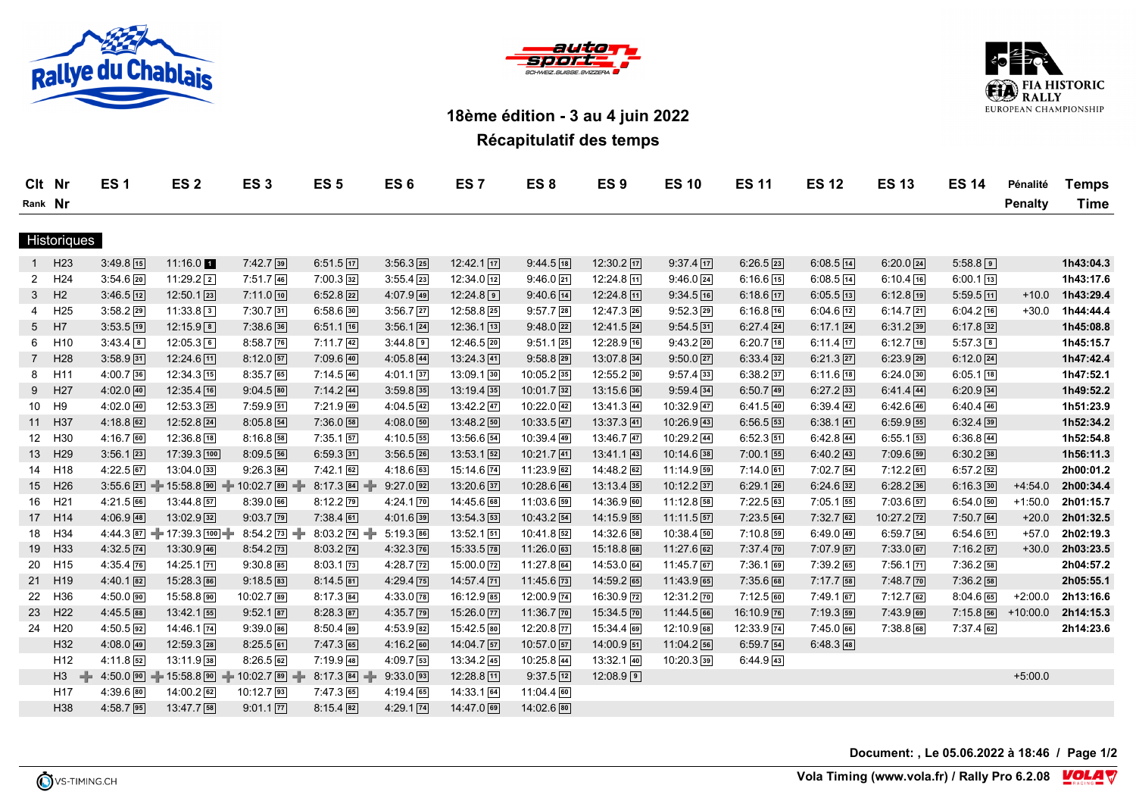





## **18ème édition - 3 au 4 juin 2022**

**Récapitulatif des temps**

|                    | Clt Nr          | <b>ES1</b>               | ES <sub>2</sub>             | ES <sub>3</sub>                           | ES <sub>5</sub>             | ES <sub>6</sub>          | ES <sub>7</sub>        | ES <sub>8</sub>        | ES <sub>9</sub>        | <b>ES 10</b>  | <b>ES 11</b>          | <b>ES 12</b>  | <b>ES 13</b>          | <b>ES 14</b>  | Pénalité       | <b>Temps</b> |
|--------------------|-----------------|--------------------------|-----------------------------|-------------------------------------------|-----------------------------|--------------------------|------------------------|------------------------|------------------------|---------------|-----------------------|---------------|-----------------------|---------------|----------------|--------------|
| Rank Nr            |                 |                          |                             |                                           |                             |                          |                        |                        |                        |               |                       |               |                       |               | <b>Penalty</b> | Time         |
|                    |                 |                          |                             |                                           |                             |                          |                        |                        |                        |               |                       |               |                       |               |                |              |
| <b>Historiques</b> |                 |                          |                             |                                           |                             |                          |                        |                        |                        |               |                       |               |                       |               |                |              |
| $\mathbf{1}$       | H <sub>23</sub> | $3:49.8$ 15              | $11:16.0$ 1                 | $7:42.7$ 39                               | $6:51.5$ 17                 | $3:56.3$ 25              | 12:42.1 17             | $9:44.5$ 18            | 12:30.2 17             | $9:37.4$ 17   | $6:26.5$ 23           | $6:08.5$ 14   | $6:20.0$ 24           | $5:58.8$ 9    |                | 1h43:04.3    |
| $\mathbf{2}$       | H <sub>24</sub> | $3:54.6$ 20              | $11:29.2$ <sup>2</sup>      | $7:51.7$ 46                               | $7:00.3$ 32                 | $3:55.4$ 23              | $12:34.0$ $12$         | $9:46.0$ 21            | $12:24.8$ 11           | $9:46.0$ $24$ | $6:16.6$ 15           | $6:08.5$ [14] | $6:10.4$ 16           | $6:00.1$ [13] |                | 1h43:17.6    |
| 3                  | H <sub>2</sub>  | $3:46.5$ 12              | 12:50.1 23                  | 7:11.0 10                                 | $6:52.8$ 22                 | $4:07.9$ 49              | 12:24.8                | $9:40.6$ 14            | 12:24.8 11             | $9:34.5$ 16   | $6:18.6$ 17           | $6:05.5$ [13] | $6:12.8$ 19           | $5:59.5$ 11   | $+10.0$        | 1h43:29.4    |
| 4                  | H <sub>25</sub> | $3:58.2$ 29              | $11:33.8$ 3                 | $7:30.7$ 31                               | $6:58.6$ 30                 | $3:56.7$ 27              | $12:58.8$ 25           | $9:57.7$ 28            | $12:47.3$ $26$         | $9:52.3$ 29   | $6:16.8$ 16           | $6:04.6$ 12   | $6:14.7$ 21           | $6:04.2$ 16   | $+30.0$        | 1h44:44.4    |
| 5 <sup>5</sup>     | H7              | $3:53.5$ 19              | 12:15.9 8                   | $7:38.6$ 36                               | $6:51.1$ 16                 | $3:56.1$ 24              | $12:36.1$ $13$         | $9:48.0$ 22            | 12:41.5 24             | $9:54.5$ 31   | $6:27.4$ 24           | $6:17.1$ 24   | $6:31.2$ 39           | $6:17.8$ 32   |                | 1h45:08.8    |
| 6                  | H <sub>10</sub> | $3:43.4$ 8               | 12:05.36                    | $8:58.7$ 76                               | $7:11.7$ 42                 | $3:44.8$ 9               | 12:46.5 20             | $9:51.1$ 25            | 12:28.9 16             | $9:43.2$ 20   | $6:20.7$ 18           | $6:11.4$ 17   | $6:12.7$ 18           | $5:57.3$ 8    |                | 1h45:15.7    |
| $7^{\circ}$        | H <sub>28</sub> | $3:58.9$ 31              | $12:24.6$ [11]              | $8:12.0$ 57                               | $7:09.6$ 40                 | $4:05.8$ 44              | $13:24.3$ 41           | $9:58.8$ <sub>29</sub> | $13:07.8$ 34           | $9:50.0$ 27   | $6:33.4$ 32           | $6:21.3$ 27   | $6:23.9$ 29           | $6:12.0$ $24$ |                | 1h47:42.4    |
| 8                  | H11             | $4:00.7$ 36              | 12:34.3 15                  | $8:35.7$ 65                               | $7:14.5$ 46                 | $4:01.1$ 37              | 13:09.1 30             | $10:05.2$ 35           | 12:55.2 30             | $9:57.4$ 33   | $6:38.2$ 37           | $6:11.6$ 18   | $6:24.0$ 30           | $6:05.1$ 18   |                | 1h47:52.1    |
| 9                  | H <sub>27</sub> | $4:02.0$ 40              | 12:35.4 16                  | $9:04.5$ 80                               | $7:14.2$ 44                 | $3:59.8$ 35              | $13:19.4$ 35           | 10:01.7 32             | 13:15.6 36             | $9:59.4$ 34   | $6:50.7$ 49           | $6:27.2$ 33   | $6:41.4$ 44           | $6:20.9$ 34   |                | 1h49:52.2    |
| 10 <sup>°</sup>    | H9              | $4:02.0$ 40              | $12:53.3$ $25$              | $7:59.9$ $51$                             | 7:21.9 49                   | $4:04.5$ 42              | 13:42.2 47             | 10:22.0 42             | 13:41.3 44             | 10:32.9 47    | $6:41.5$ $40$         | $6:39.4$ $42$ | $6:42.6$ 46           | $6:40.4$ $46$ |                | 1h51:23.9    |
| 11                 | H <sub>37</sub> | $4:18.8$ 62              | 12:52.8 24                  | $8:05.8$ 54                               | $7:36.0$ 58                 | $4:08.0$ 50              | 13:48.2 50             | 10:33.5 47             | 13:37.3 41             | 10:26.9 43    | $6:56.5$ $53$         | $6:38.1$ 41   | $6:59.9$ 55           | $6:32.4$ 39   |                | 1h52:34.2    |
| 12 <sup>2</sup>    | H30             | $4:16.7$ 60              | $12:36.8$ 18                | $8:16.8$ 58                               | $7:35.1$ 57                 | $4:10.5$ 55              | $13:56.6$ 54           | $10:39.4$ 49           | $13:46.7$ 47           | $10:29.2$ 44  | 6:52.351              | $6:42.8$ 44   | $6:55.1$ 53           | $6:36.8$ 44   |                | 1h52:54.8    |
| 13                 | H <sub>29</sub> | $3:56.1$ 23              | 17:39.3 100                 | 8:09.55                                   | $6:59.3$ 31                 | $3:56.5$ 26              | $13:53.1$ $52$         | 10:21.7 41             | $13:41.1$ 43           | 10:14.6 38    | $7:00.1$ 55           | $6:40.2$ $43$ | $7:09.6$ 59           | $6:30.2$ 38   |                | 1h56:11.3    |
| 14                 | H18             | $4:22.5$ 67              | $13:04.0$ 33                | $9:26.3$ 84                               | $7:42.1$ 62                 | $4:18.6$ 63              | 15:14.6 74             | 11:23.9 62             | 14:48.2 62             | $11:14.9$ 59  | $7:14.0$ 61           | $7:02.7$ 54   | $7:12.2$ 61           | $6:57.2$ $52$ |                | 2h00:01.2    |
| 15                 | H <sub>26</sub> |                          |                             | $3:55.6$ 21 $-$ 15:58.8 90 $-$ 10:02.7 89 | $8:17.3$ $84$ $\rightarrow$ | $9:27.0$ 92              | $13:20.6$ 37           | $10:28.6$ 46           | $13:13.4$ 35           | $10:12.2$ 37  | $6:29.1$ 26           | $6:24.6$ 32   | $6:28.2$ 36           | $6:16.3$ 30   | $+4:54.0$      | 2h00:34.4    |
| 16                 | H21             | $4:21.5$ 66              | $13:44.8$ 57                | $8:39.0$ 66                               | $8:12.2$ 79                 | $4:24.1$ $\overline{70}$ | 14:45.6 68             | 11:03.6 59             | 14:36.9 60             | 11:12.8 58    | $7:22.5$ 63           | $7:05.1$ 55   | $7:03.6$ 57           | $6:54.0$ $50$ | $+1:50.0$      | 2h01:15.7    |
| 17 <sup>2</sup>    | H <sub>14</sub> | $4:06.9$ 48              | $13:02.9$ 32                | $9:03.7$ $79$                             | $7:38.4$ 61                 | $4:01.6$ 39              | 13:54.353              | 10:43.2 54             | 14:15.9 55             | $11:11.5$ 57  | $7:23.5$ 64           | $7:32.7$ 62   | 10:27.2 72            | $7:50.7$ 64   | $+20.0$        | 2h01:32.5    |
| 18                 | H34             |                          | $4:44.3$ 87 + 17:39.3 100 + | $8:54.2$ $\overline{73}$ $\rightarrow$    | $8:03.2$ 74 $\rightarrow$   | $5:19.3$ 86              | $13:52.1$ $51$         | $10:41.8$ 52           | 14:32.6 58             | 10:38.4 50    | $7:10.8$ 59           | $6:49.0$ 49   | 6:59.754              | $6:54.6$ $51$ | $+57.0$        | 2h02:19.3    |
| 19                 | H33             | $4:32.5$ $\overline{74}$ | 13:30.9 46                  | $8:54.2$ $\boxed{73}$                     | $8:03.2$ 74                 | $4:32.3$ $76$            | 15:33.5 78             | $11:26.0$ 63           | 15:18.8 68             | 11:27.6 62    | $7:37.4$ $\boxed{70}$ | $7:07.9$ 57   | $7:33.0$ 67           | $7:16.2$ $57$ | $+30.0$        | 2h03:23.5    |
| 20                 | H <sub>15</sub> | $4:35.4$ 76              | $14:25.1$ $\overline{71}$   | $9:30.8$ 85                               | $8:03.1$ 73                 | $4:28.7$ 72              | $15:00.0$ $\boxed{72}$ | $11:27.8$ 64           | $14:53.0$ 64           | $11:45.7$ 67  | $7:36.1$ 69           | $7:39.2$ 65   | $7:56.1$ $\boxed{71}$ | $7:36.2$ 58   |                | 2h04:57.2    |
| 21                 | H19             | $4:40.1$ 82              | 15:28.3 86                  | $9:18.5$ 83                               | $8:14.5$ 81                 | $4:29.4$ 75              | 14:57.4 71             | 11:45.6 73             | 14:59.2 65             | $11:43.9$ 65  | 7:35.6 68             | $7:17.7$ 58   | $7:48.7$ $70$         | $7:36.2$ 58   |                | 2h05:55.1    |
| 22                 | H36             | $4:50.0$ 90              | 15:58.8 90                  | 10:02.7 89                                | $8:17.3$ 84                 | $4:33.0$ 78              | $16:12.9$ 85           | 12:00.9 74             | 16:30.9 72             | 12:31.2 70    | $7:12.5$ 60           | $7:49.1$ 67   | $7:12.7$ 62           | $8:04.6$ 65   | $+2:00.0$      | 2h13:16.6    |
| 23                 | H <sub>22</sub> | $4:45.5$ 88              | $13:42.1$ 55                | $9:52.1$ 87                               | $8:28.3$ 87                 | $4:35.7$ 79              | 15:26.0 77             | $11:36.7$ $70$         | 15:34.5 70             | $11:44.5$ 66  | $16:10.9$ 76          | $7:19.3$ 59   | $7:43.9$ 69           | $7:15.8$ 56   | $+10:00.0$     | 2h14:15.3    |
| 24                 | H <sub>20</sub> | $4:50.5$ 92              | 14:46.1 74                  | $9:39.0$ 86                               | $8:50.4$ 89                 | $4:53.9$ 82              | 15:42.5 80             | 12:20.8 77             | 15:34.4 69             | 12:10.9 68    | 12:33.9 74            | 7:45.0 66     | $7:38.8$ 68           | $7:37.4$ 62   |                | 2h14:23.6    |
|                    | H32             | $4:08.0$ 49              | $12:59.3$ 28                | $8:25.5$ 61                               | $7:47.3$ 65                 | $4:16.2$ 60              | $14:04.7$ 57           | $10:57.0$ $57$         | $14:00.9$ 51           | $11:04.2$ 56  | 6:59.754              | $6:48.3$ 48   |                       |               |                |              |
|                    | H <sub>12</sub> | $4:11.8$ 52              | $13:11.9$ 38                | $8:26.5$ 62                               | 7:19.9 48                   | $4:09.7$ 53              | $13:34.2$ 45           | 10:25.8 44             | 13:32.1 40             | $10:20.3$ 39  | $6:44.9$ $43$         |               |                       |               |                |              |
|                    | H3              | $4:50.0$ 90              | $+ 15:58.8$ 90              | $= 10:02.7$ 89 $+$                        | $8:17.3$ $84$ $\rightarrow$ | $9:33.0$ 93              | 12:28.8 11             | $9:37.5$ 12            | $12:08.9$ <sup>9</sup> |               |                       |               |                       |               | $+5:00.0$      |              |
|                    | H17             | $4:39.6$ 80              | $14:00.2$ 62                | $10:12.7$ 93                              | $7:47.3$ 65                 | $4:19.4$ 65              | $14:33.1$ 64           | $11:04.4$ 60           |                        |               |                       |               |                       |               |                |              |
|                    | H38             | $4:58.7$ 95              | 13:47.758                   | $9:01.1$ $\boxed{77}$                     | $8:15.4$ 82                 | $4:29.1$ 74              | 14:47.0 69             | 14:02.6 80             |                        |               |                       |               |                       |               |                |              |

**Document: , Le 05.06.2022 à 18:46 / Page 1/2**